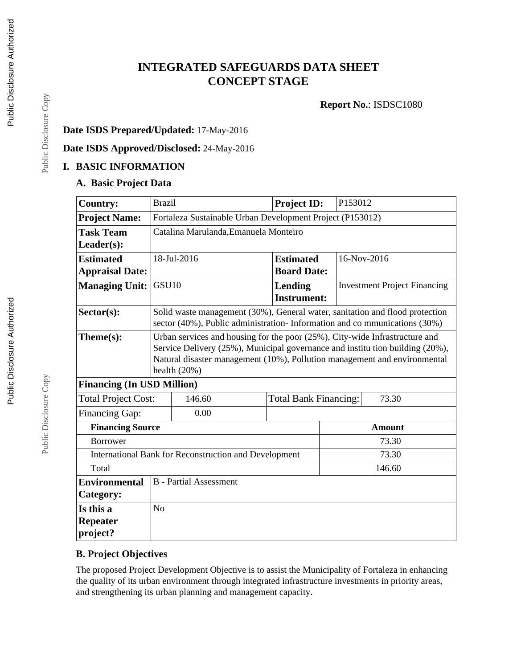## **INTEGRATED SAFEGUARDS DATA SHEET CONCEPT STAGE**

**Report No.**: ISDSC1080

#### **Date ISDS Prepared/Updated:** 17-May-2016

**Date ISDS Approved/Disclosed:** 24-May-2016

#### **I. BASIC INFORMATION**

#### **A. Basic Project Data**

| <b>Country:</b>                                              | <b>Brazil</b>                                                                                                                                                                                                                                              |                                                                                                                                                          | Project ID:                           | P153012     |                                     |
|--------------------------------------------------------------|------------------------------------------------------------------------------------------------------------------------------------------------------------------------------------------------------------------------------------------------------------|----------------------------------------------------------------------------------------------------------------------------------------------------------|---------------------------------------|-------------|-------------------------------------|
| <b>Project Name:</b>                                         |                                                                                                                                                                                                                                                            | Fortaleza Sustainable Urban Development Project (P153012)                                                                                                |                                       |             |                                     |
| <b>Task Team</b>                                             |                                                                                                                                                                                                                                                            | Catalina Marulanda, Emanuela Monteiro                                                                                                                    |                                       |             |                                     |
| $Leader(s)$ :                                                |                                                                                                                                                                                                                                                            |                                                                                                                                                          |                                       |             |                                     |
| <b>Estimated</b>                                             |                                                                                                                                                                                                                                                            | 18-Jul-2016                                                                                                                                              | <b>Estimated</b>                      | 16-Nov-2016 |                                     |
| <b>Appraisal Date:</b>                                       |                                                                                                                                                                                                                                                            |                                                                                                                                                          | <b>Board Date:</b>                    |             |                                     |
| <b>Managing Unit:</b>                                        | GSU <sub>10</sub>                                                                                                                                                                                                                                          |                                                                                                                                                          | Lending<br><b>Instrument:</b>         |             | <b>Investment Project Financing</b> |
| $Sector(s)$ :                                                |                                                                                                                                                                                                                                                            | Solid waste management (30%), General water, sanitation and flood protection<br>sector (40%), Public administration-Information and communications (30%) |                                       |             |                                     |
| Theme(s):                                                    | Urban services and housing for the poor (25%), City-wide Infrastructure and<br>Service Delivery (25%), Municipal governance and institution building (20%),<br>Natural disaster management (10%), Pollution management and environmental<br>health $(20%)$ |                                                                                                                                                          |                                       |             |                                     |
| <b>Financing (In USD Million)</b>                            |                                                                                                                                                                                                                                                            |                                                                                                                                                          |                                       |             |                                     |
| 146.60<br><b>Total Project Cost:</b>                         |                                                                                                                                                                                                                                                            |                                                                                                                                                          | 73.30<br><b>Total Bank Financing:</b> |             |                                     |
| Financing Gap:                                               |                                                                                                                                                                                                                                                            | 0.00                                                                                                                                                     |                                       |             |                                     |
| <b>Financing Source</b>                                      |                                                                                                                                                                                                                                                            |                                                                                                                                                          |                                       |             | <b>Amount</b>                       |
| <b>Borrower</b>                                              |                                                                                                                                                                                                                                                            |                                                                                                                                                          |                                       | 73.30       |                                     |
| <b>International Bank for Reconstruction and Development</b> |                                                                                                                                                                                                                                                            |                                                                                                                                                          |                                       | 73.30       |                                     |
| Total                                                        |                                                                                                                                                                                                                                                            |                                                                                                                                                          |                                       | 146.60      |                                     |
| <b>Environmental</b>                                         |                                                                                                                                                                                                                                                            | <b>B</b> - Partial Assessment                                                                                                                            |                                       |             |                                     |
| Category:                                                    |                                                                                                                                                                                                                                                            |                                                                                                                                                          |                                       |             |                                     |
| Is this a                                                    | N <sub>o</sub>                                                                                                                                                                                                                                             |                                                                                                                                                          |                                       |             |                                     |
| <b>Repeater</b><br>project?                                  |                                                                                                                                                                                                                                                            |                                                                                                                                                          |                                       |             |                                     |

#### **B. Project Objectives**

The proposed Project Development Objective is to assist the Municipality of Fortaleza in enhancing the quality of its urban environment through integrated infrastructure investments in priority areas, and strengthening its urban planning and management capacity.

Public Disclosure Copy

Public Disclosure Copy

Public Disclosure Copy

Public Disclosure Copy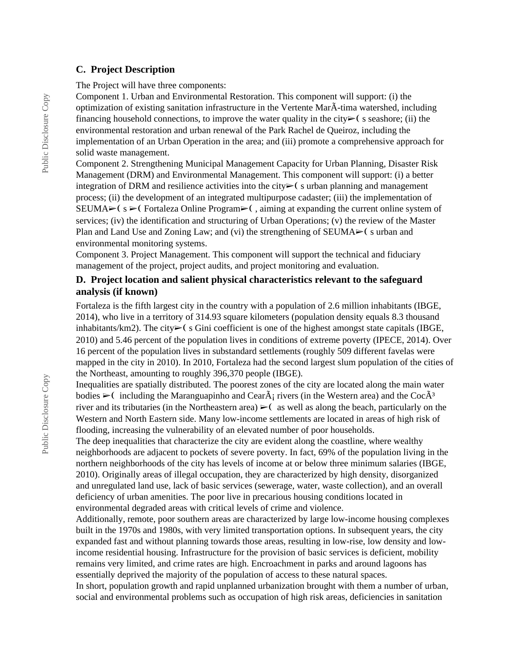#### **C. Project Description**

The Project will have three components:

Component 1. Urban and Environmental Restoration. This component will support: (i) the optimization of existing sanitation infrastructure in the Vertente MarÃ-tima watershed, including financing household connections, to improve the water quality in the city $\triangleright$  (s seashore; (ii) the environmental restoration and urban renewal of the Park Rachel de Queiroz, including the implementation of an Urban Operation in the area; and (iii) promote a comprehensive approach for solid waste management.

Component 2. Strengthening Municipal Management Capacity for Urban Planning, Disaster Risk Management (DRM) and Environmental Management. This component will support: (i) a better integration of DRM and resilience activities into the city $\triangleright$  (surban planning and management process; (ii) the development of an integrated multipurpose cadaster; (iii) the implementation of SEUMA $\triangleright$ ( s  $\triangleright$  Fortaleza Online Program $\triangleright$  (, aiming at expanding the current online system of services; (iv) the identification and structuring of Urban Operations; (v) the review of the Master Plan and Land Use and Zoning Law; and (vi) the strengthening of SEUMA $\geq$  (surban and environmental monitoring systems.

Component 3. Project Management. This component will support the technical and fiduciary management of the project, project audits, and project monitoring and evaluation.

#### **D. Project location and salient physical characteristics relevant to the safeguard analysis (if known)**

Fortaleza is the fifth largest city in the country with a population of 2.6 million inhabitants (IBGE, 2014), who live in a territory of 314.93 square kilometers (population density equals 8.3 thousand inhabitants/km2). The city➢❨ s Gini coefficient is one of the highest amongst state capitals (IBGE, 2010) and 5.46 percent of the population lives in conditions of extreme poverty (IPECE, 2014). Over 16 percent of the population lives in substandard settlements (roughly 509 different favelas were mapped in the city in 2010). In 2010, Fortaleza had the second largest slum population of the cities of the Northeast, amounting to roughly 396,370 people (IBGE).

Inequalities are spatially distributed. The poorest zones of the city are located along the main water bodies  $\geq$  including the Maranguapinho and Cear $\tilde{A}$ ; rivers (in the Western area) and the Coc $\tilde{A}^3$ river and its tributaries (in the Northeastern area)  $\triangleright$  (as well as along the beach, particularly on the Western and North Eastern side. Many low-income settlements are located in areas of high risk of flooding, increasing the vulnerability of an elevated number of poor households.

The deep inequalities that characterize the city are evident along the coastline, where wealthy neighborhoods are adjacent to pockets of severe poverty. In fact, 69% of the population living in the northern neighborhoods of the city has levels of income at or below three minimum salaries (IBGE, 2010). Originally areas of illegal occupation, they are characterized by high density, disorganized and unregulated land use, lack of basic services (sewerage, water, waste collection), and an overall deficiency of urban amenities. The poor live in precarious housing conditions located in environmental degraded areas with critical levels of crime and violence.

Additionally, remote, poor southern areas are characterized by large low-income housing complexes built in the 1970s and 1980s, with very limited transportation options. In subsequent years, the city expanded fast and without planning towards those areas, resulting in low-rise, low density and lowincome residential housing. Infrastructure for the provision of basic services is deficient, mobility remains very limited, and crime rates are high. Encroachment in parks and around lagoons has essentially deprived the majority of the population of access to these natural spaces.

In short, population growth and rapid unplanned urbanization brought with them a number of urban, social and environmental problems such as occupation of high risk areas, deficiencies in sanitation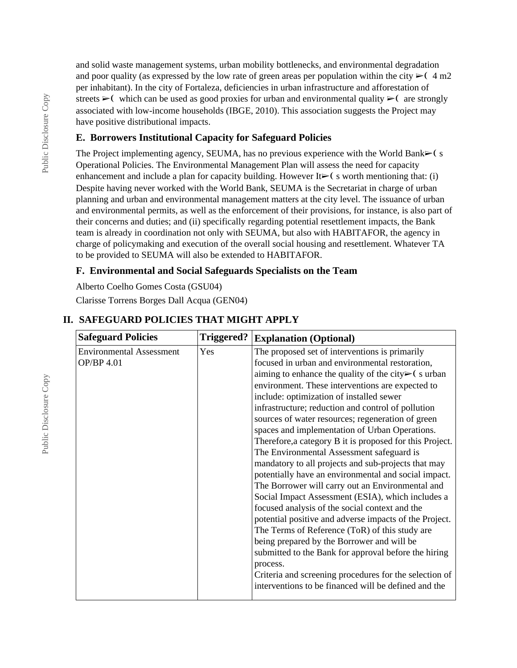and solid waste management systems, urban mobility bottlenecks, and environmental degradation and poor quality (as expressed by the low rate of green areas per population within the city  $\triangleright$  (4 m2) per inhabitant). In the city of Fortaleza, deficiencies in urban infrastructure and afforestation of streets  $\triangleright$  (which can be used as good proxies for urban and environmental quality  $\triangleright$  (are strongly associated with low-income households (IBGE, 2010). This association suggests the Project may have positive distributional impacts.

#### **E. Borrowers Institutional Capacity for Safeguard Policies**

The Project implementing agency, SEUMA, has no previous experience with the World Bank $\blacktriangleright$  ( s Operational Policies. The Environmental Management Plan will assess the need for capacity enhancement and include a plan for capacity building. However It $\blacktriangleright$  (s worth mentioning that: (i) Despite having never worked with the World Bank, SEUMA is the Secretariat in charge of urban planning and urban and environmental management matters at the city level. The issuance of urban and environmental permits, as well as the enforcement of their provisions, for instance, is also part of their concerns and duties; and (ii) specifically regarding potential resettlement impacts, the Bank team is already in coordination not only with SEUMA, but also with HABITAFOR, the agency in charge of policymaking and execution of the overall social housing and resettlement. Whatever TA to be provided to SEUMA will also be extended to HABITAFOR.

#### **F. Environmental and Social Safeguards Specialists on the Team**

Alberto Coelho Gomes Costa (GSU04)

Clarisse Torrens Borges Dall Acqua (GEN04)

| <b>Safeguard Policies</b>                     | <b>Triggered?</b> | <b>Explanation (Optional)</b>                                                                                                                                                                                                                                                                                                                                                                                                                                                                                                                                                                                                                                                                                                                                                                                                                                                                                                                                                                                                                                                                                                                                           |
|-----------------------------------------------|-------------------|-------------------------------------------------------------------------------------------------------------------------------------------------------------------------------------------------------------------------------------------------------------------------------------------------------------------------------------------------------------------------------------------------------------------------------------------------------------------------------------------------------------------------------------------------------------------------------------------------------------------------------------------------------------------------------------------------------------------------------------------------------------------------------------------------------------------------------------------------------------------------------------------------------------------------------------------------------------------------------------------------------------------------------------------------------------------------------------------------------------------------------------------------------------------------|
| <b>Environmental Assessment</b><br>OP/BP 4.01 | Yes               | The proposed set of interventions is primarily<br>focused in urban and environmental restoration,<br>aiming to enhance the quality of the city $\triangleright$ (surban<br>environment. These interventions are expected to<br>include: optimization of installed sewer<br>infrastructure; reduction and control of pollution<br>sources of water resources; regeneration of green<br>spaces and implementation of Urban Operations.<br>Therefore, a category B it is proposed for this Project.<br>The Environmental Assessment safeguard is<br>mandatory to all projects and sub-projects that may<br>potentially have an environmental and social impact.<br>The Borrower will carry out an Environmental and<br>Social Impact Assessment (ESIA), which includes a<br>focused analysis of the social context and the<br>potential positive and adverse impacts of the Project.<br>The Terms of Reference (ToR) of this study are<br>being prepared by the Borrower and will be<br>submitted to the Bank for approval before the hiring<br>process.<br>Criteria and screening procedures for the selection of<br>interventions to be financed will be defined and the |

## **II. SAFEGUARD POLICIES THAT MIGHT APPLY**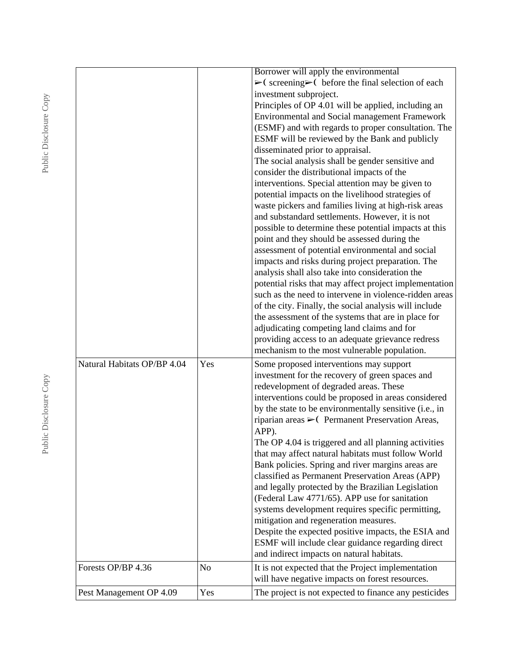|                             |     | Borrower will apply the environmental<br>$\triangleright$ (screening $\triangleright$ (before the final selection of each<br>investment subproject.<br>Principles of OP 4.01 will be applied, including an<br>Environmental and Social management Framework<br>(ESMF) and with regards to proper consultation. The<br>ESMF will be reviewed by the Bank and publicly<br>disseminated prior to appraisal.<br>The social analysis shall be gender sensitive and<br>consider the distributional impacts of the<br>interventions. Special attention may be given to<br>potential impacts on the livelihood strategies of<br>waste pickers and families living at high-risk areas<br>and substandard settlements. However, it is not<br>possible to determine these potential impacts at this<br>point and they should be assessed during the<br>assessment of potential environmental and social<br>impacts and risks during project preparation. The<br>analysis shall also take into consideration the<br>potential risks that may affect project implementation<br>such as the need to intervene in violence-ridden areas<br>of the city. Finally, the social analysis will include<br>the assessment of the systems that are in place for<br>adjudicating competing land claims and for<br>providing access to an adequate grievance redress<br>mechanism to the most vulnerable population. |
|-----------------------------|-----|----------------------------------------------------------------------------------------------------------------------------------------------------------------------------------------------------------------------------------------------------------------------------------------------------------------------------------------------------------------------------------------------------------------------------------------------------------------------------------------------------------------------------------------------------------------------------------------------------------------------------------------------------------------------------------------------------------------------------------------------------------------------------------------------------------------------------------------------------------------------------------------------------------------------------------------------------------------------------------------------------------------------------------------------------------------------------------------------------------------------------------------------------------------------------------------------------------------------------------------------------------------------------------------------------------------------------------------------------------------------------------------------|
| Natural Habitats OP/BP 4.04 | Yes | Some proposed interventions may support<br>investment for the recovery of green spaces and<br>redevelopment of degraded areas. These<br>interventions could be proposed in areas considered<br>by the state to be environmentally sensitive (i.e., in<br>riparian areas $\triangleright$ (Permanent Preservation Areas,<br>APP).<br>The OP 4.04 is triggered and all planning activities<br>that may affect natural habitats must follow World<br>Bank policies. Spring and river margins areas are<br>classified as Permanent Preservation Areas (APP)<br>and legally protected by the Brazilian Legislation<br>(Federal Law 4771/65). APP use for sanitation<br>systems development requires specific permitting,<br>mitigation and regeneration measures.<br>Despite the expected positive impacts, the ESIA and<br>ESMF will include clear guidance regarding direct<br>and indirect impacts on natural habitats.                                                                                                                                                                                                                                                                                                                                                                                                                                                                        |
| Forests OP/BP 4.36          | No  | It is not expected that the Project implementation<br>will have negative impacts on forest resources.                                                                                                                                                                                                                                                                                                                                                                                                                                                                                                                                                                                                                                                                                                                                                                                                                                                                                                                                                                                                                                                                                                                                                                                                                                                                                        |
| Pest Management OP 4.09     | Yes | The project is not expected to finance any pesticides                                                                                                                                                                                                                                                                                                                                                                                                                                                                                                                                                                                                                                                                                                                                                                                                                                                                                                                                                                                                                                                                                                                                                                                                                                                                                                                                        |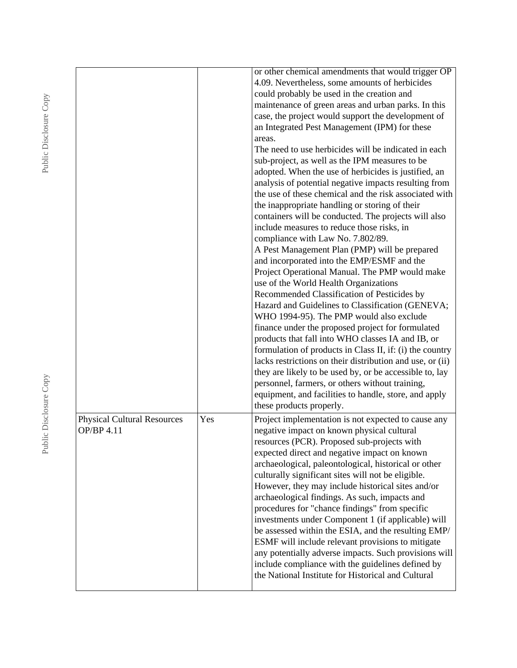|                                    |     | or other chemical amendments that would trigger OP<br>4.09. Nevertheless, some amounts of herbicides |
|------------------------------------|-----|------------------------------------------------------------------------------------------------------|
|                                    |     | could probably be used in the creation and                                                           |
|                                    |     | maintenance of green areas and urban parks. In this                                                  |
|                                    |     | case, the project would support the development of                                                   |
|                                    |     | an Integrated Pest Management (IPM) for these                                                        |
|                                    |     | areas.                                                                                               |
|                                    |     | The need to use herbicides will be indicated in each                                                 |
|                                    |     | sub-project, as well as the IPM measures to be                                                       |
|                                    |     | adopted. When the use of herbicides is justified, an                                                 |
|                                    |     | analysis of potential negative impacts resulting from                                                |
|                                    |     | the use of these chemical and the risk associated with                                               |
|                                    |     | the inappropriate handling or storing of their                                                       |
|                                    |     | containers will be conducted. The projects will also                                                 |
|                                    |     | include measures to reduce those risks, in                                                           |
|                                    |     | compliance with Law No. 7.802/89.                                                                    |
|                                    |     | A Pest Management Plan (PMP) will be prepared                                                        |
|                                    |     | and incorporated into the EMP/ESMF and the                                                           |
|                                    |     | Project Operational Manual. The PMP would make                                                       |
|                                    |     | use of the World Health Organizations                                                                |
|                                    |     | Recommended Classification of Pesticides by                                                          |
|                                    |     | Hazard and Guidelines to Classification (GENEVA;                                                     |
|                                    |     | WHO 1994-95). The PMP would also exclude                                                             |
|                                    |     | finance under the proposed project for formulated                                                    |
|                                    |     | products that fall into WHO classes IA and IB, or                                                    |
|                                    |     | formulation of products in Class II, if: (i) the country                                             |
|                                    |     | lacks restrictions on their distribution and use, or (ii)                                            |
|                                    |     | they are likely to be used by, or be accessible to, lay                                              |
|                                    |     | personnel, farmers, or others without training,                                                      |
|                                    |     | equipment, and facilities to handle, store, and apply                                                |
|                                    |     | these products properly.                                                                             |
| <b>Physical Cultural Resources</b> | Yes | Project implementation is not expected to cause any                                                  |
| <b>OP/BP 4.11</b>                  |     | negative impact on known physical cultural                                                           |
|                                    |     | resources (PCR). Proposed sub-projects with                                                          |
|                                    |     | expected direct and negative impact on known                                                         |
|                                    |     | archaeological, paleontological, historical or other                                                 |
|                                    |     | culturally significant sites will not be eligible.                                                   |
|                                    |     | However, they may include historical sites and/or                                                    |
|                                    |     | archaeological findings. As such, impacts and                                                        |
|                                    |     | procedures for "chance findings" from specific                                                       |
|                                    |     | investments under Component 1 (if applicable) will                                                   |
|                                    |     | be assessed within the ESIA, and the resulting EMP/                                                  |
|                                    |     | ESMF will include relevant provisions to mitigate                                                    |
|                                    |     | any potentially adverse impacts. Such provisions will                                                |
|                                    |     | include compliance with the guidelines defined by                                                    |
|                                    |     | the National Institute for Historical and Cultural                                                   |
|                                    |     |                                                                                                      |
|                                    |     |                                                                                                      |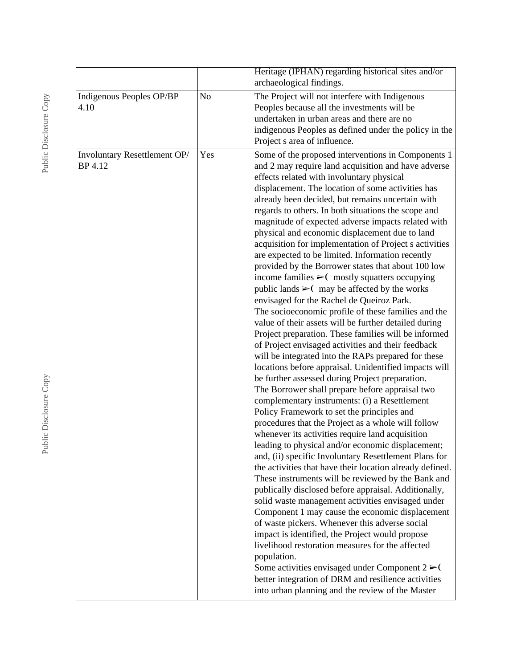|                                         |                | Heritage (IPHAN) regarding historical sites and/or<br>archaeological findings.                                                                                                                                                                                                                                                                                                                                                                                                                                                                                                                                                                                                                                                                                                                                                                                                                                                                                                                                                                                                                                                                                                                                                                                                                                                                                                                                                                                                                                                                                                                                                                                                                                                                                                                                                                                                                                                                                                                                                                                                                                                                                                          |
|-----------------------------------------|----------------|-----------------------------------------------------------------------------------------------------------------------------------------------------------------------------------------------------------------------------------------------------------------------------------------------------------------------------------------------------------------------------------------------------------------------------------------------------------------------------------------------------------------------------------------------------------------------------------------------------------------------------------------------------------------------------------------------------------------------------------------------------------------------------------------------------------------------------------------------------------------------------------------------------------------------------------------------------------------------------------------------------------------------------------------------------------------------------------------------------------------------------------------------------------------------------------------------------------------------------------------------------------------------------------------------------------------------------------------------------------------------------------------------------------------------------------------------------------------------------------------------------------------------------------------------------------------------------------------------------------------------------------------------------------------------------------------------------------------------------------------------------------------------------------------------------------------------------------------------------------------------------------------------------------------------------------------------------------------------------------------------------------------------------------------------------------------------------------------------------------------------------------------------------------------------------------------|
| Indigenous Peoples OP/BP<br>4.10        | N <sub>o</sub> | The Project will not interfere with Indigenous<br>Peoples because all the investments will be<br>undertaken in urban areas and there are no<br>indigenous Peoples as defined under the policy in the<br>Project s area of influence.                                                                                                                                                                                                                                                                                                                                                                                                                                                                                                                                                                                                                                                                                                                                                                                                                                                                                                                                                                                                                                                                                                                                                                                                                                                                                                                                                                                                                                                                                                                                                                                                                                                                                                                                                                                                                                                                                                                                                    |
| Involuntary Resettlement OP/<br>BP 4.12 | Yes            | Some of the proposed interventions in Components 1<br>and 2 may require land acquisition and have adverse<br>effects related with involuntary physical<br>displacement. The location of some activities has<br>already been decided, but remains uncertain with<br>regards to others. In both situations the scope and<br>magnitude of expected adverse impacts related with<br>physical and economic displacement due to land<br>acquisition for implementation of Project s activities<br>are expected to be limited. Information recently<br>provided by the Borrower states that about 100 low<br>income families $\triangleright$ ( mostly squatters occupying<br>public lands $\triangleright$ ( may be affected by the works<br>envisaged for the Rachel de Queiroz Park.<br>The socioeconomic profile of these families and the<br>value of their assets will be further detailed during<br>Project preparation. These families will be informed<br>of Project envisaged activities and their feedback<br>will be integrated into the RAPs prepared for these<br>locations before appraisal. Unidentified impacts will<br>be further assessed during Project preparation.<br>The Borrower shall prepare before appraisal two<br>complementary instruments: (i) a Resettlement<br>Policy Framework to set the principles and<br>procedures that the Project as a whole will follow<br>whenever its activities require land acquisition<br>leading to physical and/or economic displacement;<br>and, (ii) specific Involuntary Resettlement Plans for<br>the activities that have their location already defined.<br>These instruments will be reviewed by the Bank and<br>publically disclosed before appraisal. Additionally,<br>solid waste management activities envisaged under<br>Component 1 may cause the economic displacement<br>of waste pickers. Whenever this adverse social<br>impact is identified, the Project would propose<br>livelihood restoration measures for the affected<br>population.<br>Some activities envisaged under Component $2 \ge 0$<br>better integration of DRM and resilience activities<br>into urban planning and the review of the Master |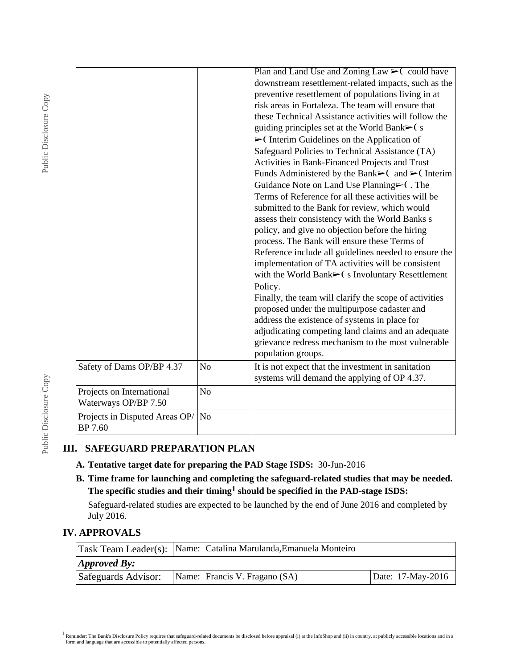| guiding principles set at the World Bank►(s<br>$\triangleright$ (Interim Guidelines on the Application of<br>policy, and give no objection before the hiring<br>process. The Bank will ensure these Terms of<br>Policy.<br>proposed under the multipurpose cadaster and<br>address the existence of systems in place for<br>population groups.<br>Safety of Dams OP/BP 4.37<br>N <sub>o</sub><br>It is not expect that the investment in sanitation<br>systems will demand the applying of OP 4.37.<br>N <sub>o</sub><br>Projects on International<br>Waterways OP/BP 7.50 |  |                                                                                                                                                                                                                                                                                                                                                                                                                                                                                                                                                                                                                                                                                                                                                                                                                                                                                                                                                                                                                                              |
|----------------------------------------------------------------------------------------------------------------------------------------------------------------------------------------------------------------------------------------------------------------------------------------------------------------------------------------------------------------------------------------------------------------------------------------------------------------------------------------------------------------------------------------------------------------------------|--|----------------------------------------------------------------------------------------------------------------------------------------------------------------------------------------------------------------------------------------------------------------------------------------------------------------------------------------------------------------------------------------------------------------------------------------------------------------------------------------------------------------------------------------------------------------------------------------------------------------------------------------------------------------------------------------------------------------------------------------------------------------------------------------------------------------------------------------------------------------------------------------------------------------------------------------------------------------------------------------------------------------------------------------------|
|                                                                                                                                                                                                                                                                                                                                                                                                                                                                                                                                                                            |  | Plan and Land Use and Zoning Law $\triangleright$ (could have<br>downstream resettlement-related impacts, such as the<br>preventive resettlement of populations living in at<br>risk areas in Fortaleza. The team will ensure that<br>these Technical Assistance activities will follow the<br>Safeguard Policies to Technical Assistance (TA)<br>Activities in Bank-Financed Projects and Trust<br>Funds Administered by the Bank $\blacktriangleright$ (and $\blacktriangleright$ (Interim<br>Guidance Note on Land Use Planning⊳(. The<br>Terms of Reference for all these activities will be<br>submitted to the Bank for review, which would<br>assess their consistency with the World Banks s<br>Reference include all guidelines needed to ensure the<br>implementation of TA activities will be consistent<br>with the World Bank>(s Involuntary Resettlement<br>Finally, the team will clarify the scope of activities<br>adjudicating competing land claims and an adequate<br>grievance redress mechanism to the most vulnerable |
|                                                                                                                                                                                                                                                                                                                                                                                                                                                                                                                                                                            |  |                                                                                                                                                                                                                                                                                                                                                                                                                                                                                                                                                                                                                                                                                                                                                                                                                                                                                                                                                                                                                                              |
|                                                                                                                                                                                                                                                                                                                                                                                                                                                                                                                                                                            |  |                                                                                                                                                                                                                                                                                                                                                                                                                                                                                                                                                                                                                                                                                                                                                                                                                                                                                                                                                                                                                                              |
| Projects in Disputed Areas OP/<br>No<br><b>BP</b> 7.60                                                                                                                                                                                                                                                                                                                                                                                                                                                                                                                     |  |                                                                                                                                                                                                                                                                                                                                                                                                                                                                                                                                                                                                                                                                                                                                                                                                                                                                                                                                                                                                                                              |

# **III. SAFEGUARD PREPARATION PLAN**

- **A. Tentative target date for preparing the PAD Stage ISDS:** 30-Jun-2016
- **B. Time frame for launching and completing the safeguard-related studies that may be needed. The specific studies and their timing1 should be specified in the PAD-stage ISDS:**

Safeguard-related studies are expected to be launched by the end of June 2016 and completed by July 2016.

### **IV. APPROVALS**

|                              | Task Team Leader(s): Name: Catalina Marulanda, Emanuela Monteiro |                   |
|------------------------------|------------------------------------------------------------------|-------------------|
| $\Delta$ <i>Approved By:</i> |                                                                  |                   |
| Safeguards Advisor:          | Name: Francis V. Fragano (SA)                                    | Date: 17-May-2016 |

Public Disclosure Copy Public Disclosure Copy